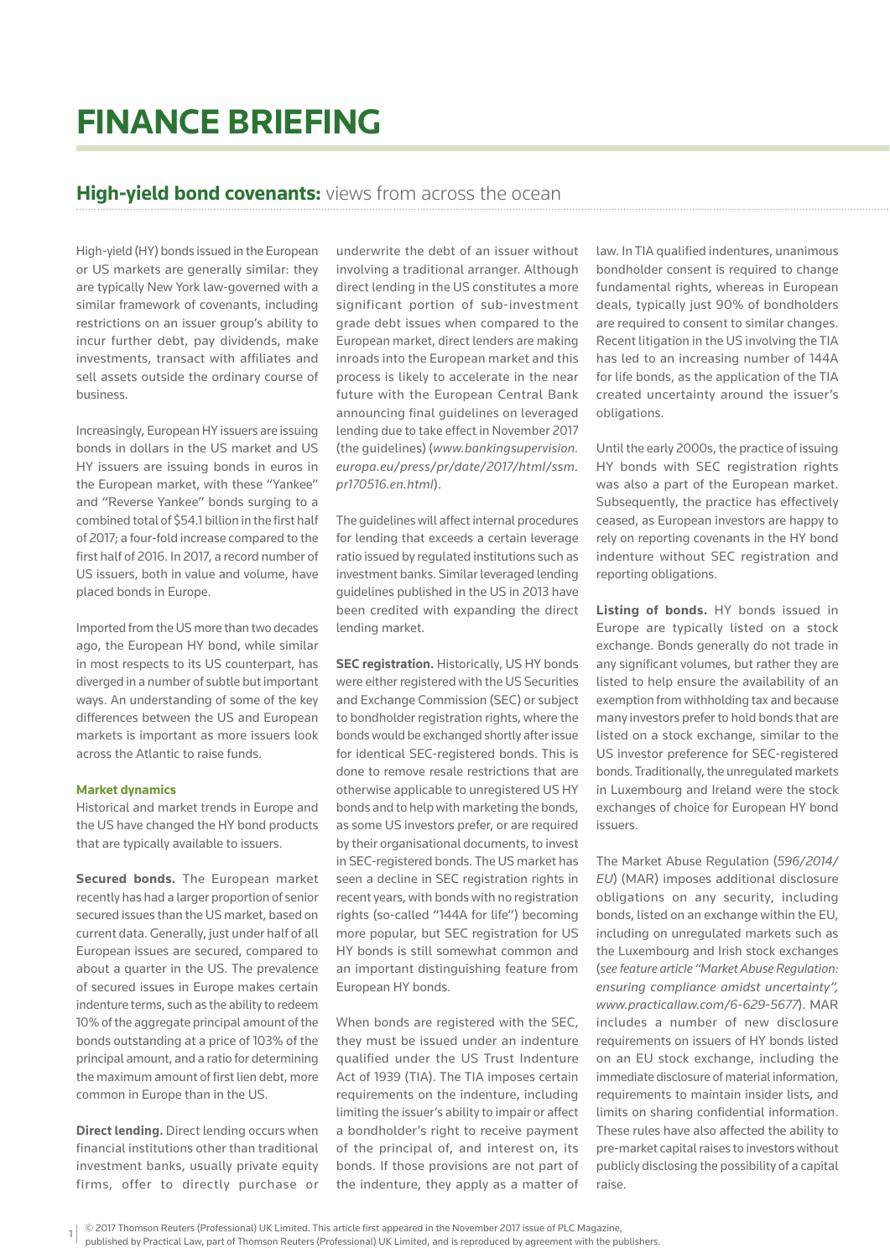## **FINANCE BRIEFING**

## **High-yield bond covenants:** views from across the ocean

High-yield (HY) bonds issued in the European or US markets are generally similar: they are typically New York law-governed with a similar framework of covenants, including restrictions on an issuer group's ability to incur further debt, pay dividends, make investments, transact with affiliates and sell assets outside the ordinary course of business.

Increasingly, European HY issuers are issuing bonds in dollars in the US market and US HY issuers are issuing bonds in euros in the European market, with these "Yankee" and "Reverse Yankee" bonds surging to a combined total of \$54.1 billion in the first half of 2017; a four-fold increase compared to the first half of 2016. In 2017, a record number of US issuers, both in value and volume, have placed bonds in Europe.

Imported from the US more than two decades ago, the European HY bond, while similar in most respects to its US counterpart, has diverged in a number of subtle but important ways. An understanding of some of the key differences between the US and European markets is important as more issuers look across the Atlantic to raise funds.

## **Market dynamics**

Historical and market trends in Europe and the US have changed the HY bond products that are typically available to issuers.

**Secured bonds.** The European market recently has had a larger proportion of senior secured issues than the US market, based on current data. Generally, just under half of all European issues are secured, compared to about a quarter in the US. The prevalence of secured issues in Europe makes certain indenture terms, such as the ability to redeem 10% of the aggregate principal amount of the bonds outstanding at a price of 103% of the principal amount, and a ratio for determining the maximum amount of first lien debt, more common in Europe than in the US.

**Direct lending.** Direct lending occurs when financial institutions other than traditional investment banks, usually private equity firms, offer to directly purchase or underwrite the debt of an issuer without involving a traditional arranger. Although direct lending in the US constitutes a more significant portion of sub-investment grade debt issues when compared to the European market, direct lenders are making inroads into the European market and this process is likely to accelerate in the near future with the European Central Bank announcing final guidelines on leveraged lending due to take effect in November 2017 (the guidelines) (*www.bankingsupervision. europa.eu/press/pr/date/2017/html/ssm. pr170516.en.html*).

The guidelines will affect internal procedures for lending that exceeds a certain leverage ratio issued by regulated institutions such as investment banks. Similar leveraged lending guidelines published in the US in 2013 have been credited with expanding the direct lending market.

**SEC registration.** Historically, US HY bonds were either registered with the US Securities and Exchange Commission (SEC) or subject to bondholder registration rights, where the bonds would be exchanged shortly after issue for identical SEC-registered bonds. This is done to remove resale restrictions that are otherwise applicable to unregistered US HY bonds and to help with marketing the bonds, as some US investors prefer, or are required by their organisational documents, to invest in SEC-registered bonds. The US market has seen a decline in SEC registration rights in recent years, with bonds with no registration rights (so-called "144A for life") becoming more popular, but SEC registration for US HY bonds is still somewhat common and an important distinguishing feature from European HY bonds.

When bonds are registered with the SEC, they must be issued under an indenture qualified under the US Trust Indenture Act of 1939 (TIA). The TIA imposes certain requirements on the indenture, including limiting the issuer's ability to impair or affect a bondholder's right to receive payment of the principal of, and interest on, its bonds. If those provisions are not part of the indenture, they apply as a matter of law. In TIA qualified indentures, unanimous bondholder consent is required to change fundamental rights, whereas in European deals, typically just 90% of bondholders are required to consent to similar changes. Recent litigation in the US involving the TIA has led to an increasing number of 144A for life bonds, as the application of the TIA created uncertainty around the issuer's obligations.

Until the early 2000s, the practice of issuing HY bonds with SEC registration rights was also a part of the European market. Subsequently, the practice has effectively ceased, as European investors are happy to rely on reporting covenants in the HY bond indenture without SEC registration and reporting obligations.

**Listing of bonds.** HY bonds issued in Europe are typically listed on a stock exchange. Bonds generally do not trade in any significant volumes, but rather they are listed to help ensure the availability of an exemption from withholding tax and because many investors prefer to hold bonds that are listed on a stock exchange, similar to the US investor preference for SEC-registered bonds. Traditionally, the unregulated markets in Luxembourg and Ireland were the stock exchanges of choice for European HY bond issuers.

The Market Abuse Regulation (*596/2014/ EU*) (MAR) imposes additional disclosure obligations on any security, including bonds, listed on an exchange within the EU, including on unregulated markets such as the Luxembourg and Irish stock exchanges (*see feature article "Market Abuse Regulation: ensuring compliance amidst uncertainty", www.practicallaw.com/6-629-5677*). MAR includes a number of new disclosure requirements on issuers of HY bonds listed on an EU stock exchange, including the immediate disclosure of material information, requirements to maintain insider lists, and limits on sharing confidential information. These rules have also affected the ability to pre-market capital raises to investors without publicly disclosing the possibility of a capital raise.

published by Practical Law, part of Thomson Reuters (Professional) UK Limited, and is reproduced by agreement with the publishers.

<sup>1</sup> © 2017 Thomson Reuters (Professional) UK Limited. This article first appeared in the November 2017 issue of PLC Magazine,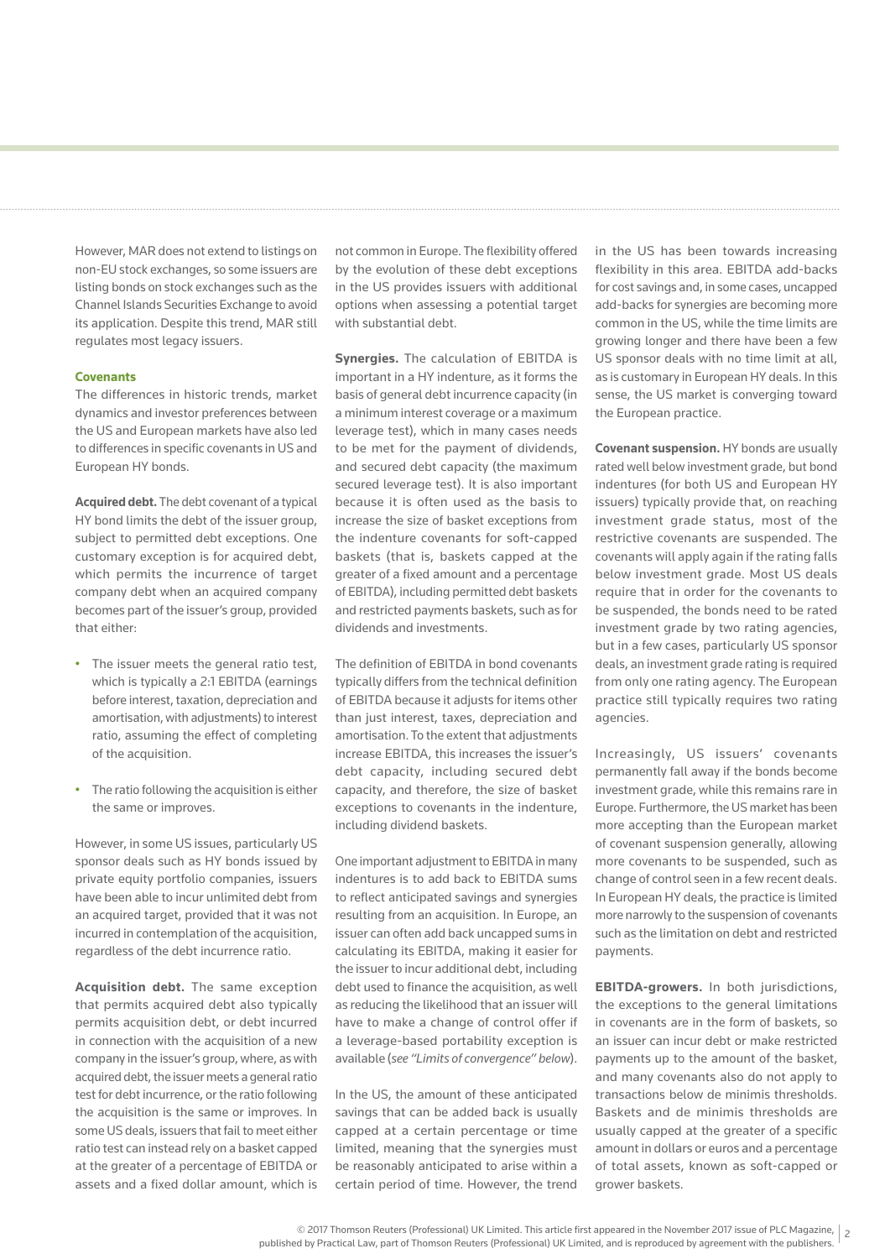• The ratio following the acquisition is either the same or improves. However, in some US issues, particularly US

sponsor deals such as HY bonds issued by private equity portfolio companies, issuers have been able to incur unlimited debt from an acquired target, provided that it was not incurred in contemplation of the acquisition, regardless of the debt incurrence ratio.

However, MAR does not extend to listings on non-EU stock exchanges, so some issuers are listing bonds on stock exchanges such as the Channel Islands Securities Exchange to avoid its application. Despite this trend, MAR still

The differences in historic trends, market dynamics and investor preferences between the US and European markets have also led to differences in specific covenants in US and

**Acquired debt.** The debt covenant of a typical HY bond limits the debt of the issuer group, subject to permitted debt exceptions. One customary exception is for acquired debt, which permits the incurrence of target company debt when an acquired company becomes part of the issuer's group, provided

• The issuer meets the general ratio test, which is typically a 2:1 EBITDA (earnings before interest, taxation, depreciation and amortisation, with adjustments) to interest ratio, assuming the effect of completing

regulates most legacy issuers.

**Covenants**

that either:

of the acquisition.

European HY bonds.

**Acquisition debt.** The same exception that permits acquired debt also typically permits acquisition debt, or debt incurred in connection with the acquisition of a new company in the issuer's group, where, as with acquired debt, the issuer meets a general ratio test for debt incurrence, or the ratio following the acquisition is the same or improves. In some US deals, issuers that fail to meet either ratio test can instead rely on a basket capped at the greater of a percentage of EBITDA or assets and a fixed dollar amount, which is

not common in Europe. The flexibility offered by the evolution of these debt exceptions in the US provides issuers with additional options when assessing a potential target with substantial debt.

**Synergies.** The calculation of EBITDA is important in a HY indenture, as it forms the basis of general debt incurrence capacity (in a minimum interest coverage or a maximum leverage test), which in many cases needs to be met for the payment of dividends, and secured debt capacity (the maximum secured leverage test). It is also important because it is often used as the basis to increase the size of basket exceptions from the indenture covenants for soft-capped baskets (that is, baskets capped at the greater of a fixed amount and a percentage of EBITDA), including permitted debt baskets and restricted payments baskets, such as for dividends and investments.

The definition of EBITDA in bond covenants typically differs from the technical definition of EBITDA because it adjusts for items other than just interest, taxes, depreciation and amortisation. To the extent that adjustments increase EBITDA, this increases the issuer's debt capacity, including secured debt capacity, and therefore, the size of basket exceptions to covenants in the indenture, including dividend baskets.

One important adjustment to EBITDA in many indentures is to add back to EBITDA sums to reflect anticipated savings and synergies resulting from an acquisition. In Europe, an issuer can often add back uncapped sums in calculating its EBITDA, making it easier for the issuer to incur additional debt, including debt used to finance the acquisition, as well as reducing the likelihood that an issuer will have to make a change of control offer if a leverage-based portability exception is available (*see "Limits of convergence" below*).

In the US, the amount of these anticipated savings that can be added back is usually capped at a certain percentage or time limited, meaning that the synergies must be reasonably anticipated to arise within a certain period of time. However, the trend in the US has been towards increasing flexibility in this area. EBITDA add-backs for cost savings and, in some cases, uncapped add-backs for synergies are becoming more common in the US, while the time limits are growing longer and there have been a few US sponsor deals with no time limit at all, as is customary in European HY deals. In this sense, the US market is converging toward the European practice.

**Covenant suspension.** HY bonds are usually rated well below investment grade, but bond indentures (for both US and European HY issuers) typically provide that, on reaching investment grade status, most of the restrictive covenants are suspended. The covenants will apply again if the rating falls below investment grade. Most US deals require that in order for the covenants to be suspended, the bonds need to be rated investment grade by two rating agencies, but in a few cases, particularly US sponsor deals, an investment grade rating is required from only one rating agency. The European practice still typically requires two rating agencies.

Increasingly, US issuers' covenants permanently fall away if the bonds become investment grade, while this remains rare in Europe. Furthermore, the US market has been more accepting than the European market of covenant suspension generally, allowing more covenants to be suspended, such as change of control seen in a few recent deals. In European HY deals, the practice is limited more narrowly to the suspension of covenants such as the limitation on debt and restricted payments.

**EBITDA-growers.** In both jurisdictions, the exceptions to the general limitations in covenants are in the form of baskets, so an issuer can incur debt or make restricted payments up to the amount of the basket, and many covenants also do not apply to transactions below de minimis thresholds. Baskets and de minimis thresholds are usually capped at the greater of a specific amount in dollars or euros and a percentage of total assets, known as soft-capped or grower baskets.